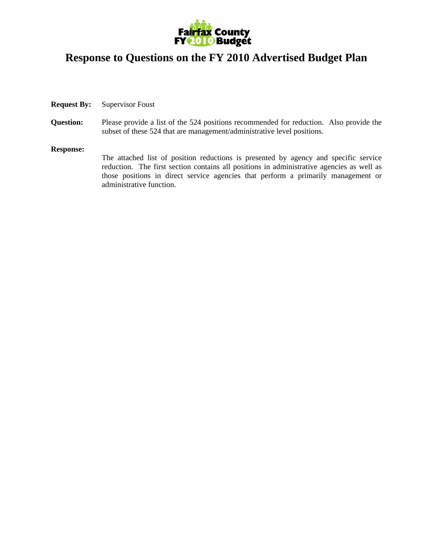

# **Response to Questions on the FY 2010 Advertised Budget Plan**

- **Request By:** Supervisor Foust
- **Question:** Please provide a list of the 524 positions recommended for reduction. Also provide the subset of these 524 that are management/administrative level positions.

#### **Response:**

The attached list of position reductions is presented by agency and specific service reduction. The first section contains all positions in administrative agencies as well as those positions in direct service agencies that perform a primarily management or administrative function.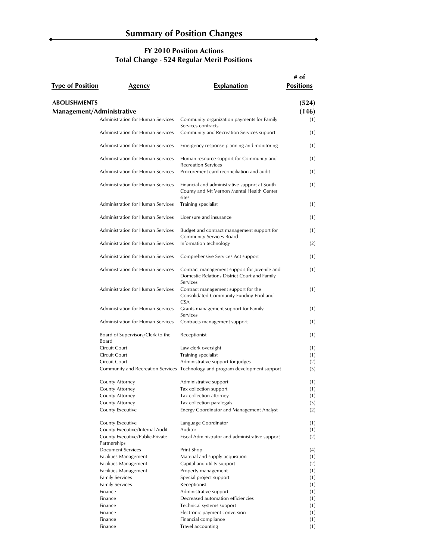$\overline{\phantom{a}}$ 

| <b>Type of Position</b>   | Agency                                          | <b>Explanation</b>                                                                                       | # of<br><b>Positions</b> |
|---------------------------|-------------------------------------------------|----------------------------------------------------------------------------------------------------------|--------------------------|
| <b>ABOLISHMENTS</b>       |                                                 |                                                                                                          | (524)                    |
| Management/Administrative |                                                 |                                                                                                          | (146)                    |
|                           | Administration for Human Services               | Community organization payments for Family<br>Services contracts                                         | (1)                      |
|                           | Administration for Human Services               | Community and Recreation Services support                                                                | (1)                      |
|                           | Administration for Human Services               | Emergency response planning and monitoring                                                               | (1)                      |
|                           | Administration for Human Services               | Human resource support for Community and<br><b>Recreation Services</b>                                   | (1)                      |
|                           | Administration for Human Services               | Procurement card reconciliation and audit                                                                | (1)                      |
|                           | Administration for Human Services               | Financial and administrative support at South<br>County and Mt Vernon Mental Health Center<br>sites      | (1)                      |
|                           | Administration for Human Services               | Training specialist                                                                                      | (1)                      |
|                           | Administration for Human Services               | Licensure and insurance                                                                                  | (1)                      |
|                           | Administration for Human Services               | Budget and contract management support for<br>Community Services Board                                   | (1)                      |
|                           | Administration for Human Services               | Information technology                                                                                   | (2)                      |
|                           | Administration for Human Services               | Comprehensive Services Act support                                                                       | (1)                      |
|                           | Administration for Human Services               | Contract management support for Juvenile and<br>Domestic Relations District Court and Family<br>Services | (1)                      |
|                           | Administration for Human Services               | Contract management support for the<br>Consolidated Community Funding Pool and<br><b>CSA</b>             | (1)                      |
|                           | Administration for Human Services               | Grants management support for Family<br>Services                                                         | (1)                      |
|                           | Administration for Human Services               | Contracts management support                                                                             | (1)                      |
|                           | Board of Supervisors/Clerk to the<br>Board      | Receptionist                                                                                             | (1)                      |
|                           | Circuit Court                                   | Law clerk oversight                                                                                      | (1)                      |
|                           | Circuit Court                                   | Training specialist                                                                                      | (1)                      |
|                           | <b>Circuit Court</b>                            | Administrative support for judges                                                                        | (2)                      |
|                           |                                                 | Community and Recreation Services Technology and program development support                             | (3)                      |
|                           | County Attorney                                 | Administrative support                                                                                   | (1)                      |
|                           | County Attorney                                 | Tax collection support                                                                                   | (1)                      |
|                           | County Attorney                                 | Tax collection attorney                                                                                  | (1)                      |
|                           | County Attorney                                 | Tax collection paralegals                                                                                | (3)                      |
|                           | County Executive                                | Energy Coordinator and Management Analyst                                                                | (2)                      |
|                           | County Executive                                | Language Coordinator                                                                                     | (1)                      |
|                           | County Executive/Internal Audit                 | Auditor                                                                                                  | (1)                      |
|                           | County Executive/Public-Private<br>Partnerships | Fiscal Administrator and administrative support                                                          | (2)                      |
|                           | <b>Document Services</b>                        | Print Shop                                                                                               | (4)                      |
|                           | Facilities Management                           | Material and supply acquisition                                                                          | (1)                      |
|                           | Facilities Management                           | Capital and utility support                                                                              | (2)                      |
|                           | Facilities Management                           | Property management                                                                                      | (1)                      |
|                           | <b>Family Services</b>                          | Special project support                                                                                  | (1)                      |
|                           | <b>Family Services</b>                          | Receptionist                                                                                             | (1)                      |
|                           | Finance                                         | Administrative support                                                                                   | (1)                      |
|                           | Finance                                         | Decreased automation efficiencies                                                                        | (1)                      |
|                           | Finance                                         | Technical systems support                                                                                | (1)                      |
|                           | Finance                                         | Electronic payment conversion                                                                            | (1)                      |
|                           | Finance                                         | Financial compliance                                                                                     | (1)                      |
|                           | Finance                                         | Travel accounting                                                                                        | (1)                      |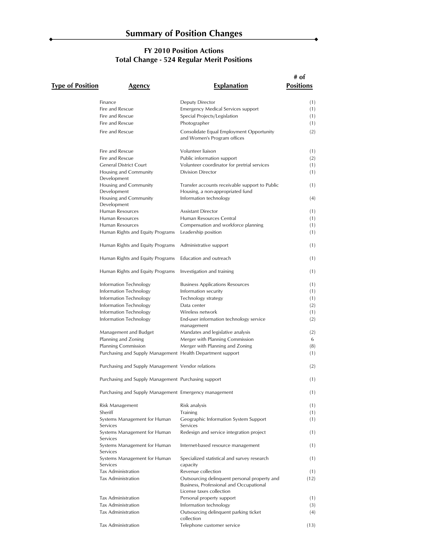Â

| <b>Type of Position</b> | Agency                                                     | <b>Explanation</b>                                                                      | # of<br><b>Positions</b> |
|-------------------------|------------------------------------------------------------|-----------------------------------------------------------------------------------------|--------------------------|
|                         | Finance                                                    | Deputy Director                                                                         | (1)                      |
|                         | Fire and Rescue                                            | <b>Emergency Medical Services support</b>                                               | (1)                      |
|                         | Fire and Rescue                                            | Special Projects/Legislation                                                            | (1)                      |
|                         | Fire and Rescue                                            | Photographer                                                                            | (1)                      |
|                         |                                                            |                                                                                         |                          |
|                         | Fire and Rescue                                            | Consolidate Equal Employment Opportunity<br>and Women's Program offices                 | (2)                      |
|                         | Fire and Rescue                                            | Volunteer liaison                                                                       | (1)                      |
|                         | Fire and Rescue                                            | Public information support                                                              | (2)                      |
|                         | <b>General District Court</b>                              | Volunteer coordinator for pretrial services                                             | (1)                      |
|                         | Housing and Community<br>Development                       | <b>Division Director</b>                                                                | (1)                      |
|                         | Housing and Community<br>Development                       | Transfer accounts receivable support to Public<br>Housing, a non-appropriated fund      | (1)                      |
|                         | Housing and Community<br>Development                       | Information technology                                                                  | (4)                      |
|                         | Human Resources                                            | Assistant Director                                                                      | (1)                      |
|                         | Human Resources                                            | Human Resources Central                                                                 | (1)                      |
|                         | Human Resources                                            | Compensation and workforce planning                                                     | (1)                      |
|                         | Human Rights and Equity Programs                           | Leadership position                                                                     | (1)                      |
|                         | Human Rights and Equity Programs                           | Administrative support                                                                  | (1)                      |
|                         | Human Rights and Equity Programs                           | Education and outreach                                                                  | (1)                      |
|                         | Human Rights and Equity Programs                           | Investigation and training                                                              | (1)                      |
|                         | Information Technology                                     | <b>Business Applications Resources</b>                                                  | (1)                      |
|                         | Information Technology                                     | Information security                                                                    | (1)                      |
|                         | Information Technology                                     | Technology strategy                                                                     | (1)                      |
|                         | Information Technology                                     | Data center                                                                             | (2)                      |
|                         | Information Technology                                     | Wireless network                                                                        | (1)                      |
|                         | Information Technology                                     | End-user information technology service<br>management                                   | (2)                      |
|                         | Management and Budget                                      | Mandates and legislative analysis                                                       | (2)                      |
|                         | Planning and Zoning                                        | Merger with Planning Commission                                                         | 6                        |
|                         | <b>Planning Commission</b>                                 | Merger with Planning and Zoning                                                         | (8)                      |
|                         | Purchasing and Supply Management Health Department support |                                                                                         | (1)                      |
|                         |                                                            |                                                                                         |                          |
|                         | Purchasing and Supply Management Vendor relations          |                                                                                         | (2)                      |
|                         | Purchasing and Supply Management Purchasing support        |                                                                                         | (1)                      |
|                         | Purchasing and Supply Management Emergency management      |                                                                                         | (1)                      |
|                         | Risk Management                                            | Risk analysis                                                                           | (1)                      |
|                         | Sheriff                                                    | <b>Training</b>                                                                         | (1)                      |
|                         | Systems Management for Human<br>Services                   | Geographic Information System Support<br>Services                                       | (1)                      |
|                         | Systems Management for Human<br>Services                   | Redesign and service integration project                                                | (1)                      |
|                         | Systems Management for Human<br>Services                   | Internet-based resource management                                                      | (1)                      |
|                         | Systems Management for Human<br>Services                   | Specialized statistical and survey research<br>capacity                                 | (1)                      |
|                         | Tax Administration                                         | Revenue collection                                                                      | (1)                      |
|                         | Tax Administration                                         | Outsourcing delinquent personal property and<br>Business, Professional and Occupational | (12)                     |
|                         |                                                            | License taxes collection                                                                |                          |
|                         | Tax Administration                                         | Personal property support                                                               | (1)                      |
|                         | <b>Tax Administration</b>                                  | Information technology                                                                  | (3)                      |
|                         | Tax Administration                                         | Outsourcing delinquent parking ticket<br>collection                                     | (4)                      |
|                         | Tax Administration                                         | Telephone customer service                                                              | (13)                     |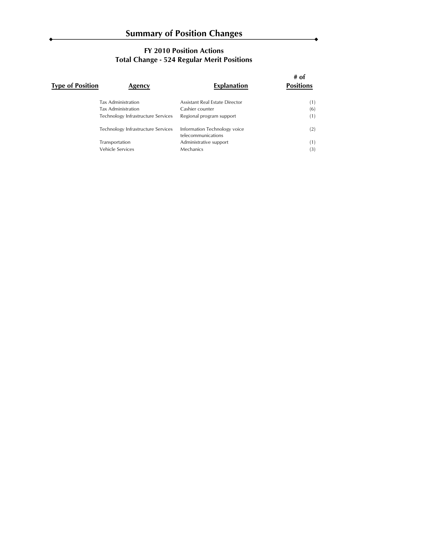| Type of Position | Agency                             | <b>Explanation</b>                                 | # of<br><b>Positions</b> |
|------------------|------------------------------------|----------------------------------------------------|--------------------------|
|                  | Tax Administration                 | Assistant Real Estate Director                     | (1)                      |
|                  | Tax Administration                 | Cashier counter                                    | (6)                      |
|                  | Technology Infrastructure Services | Regional program support                           | (1)                      |
|                  | Technology Infrastructure Services | Information Technology voice<br>telecommunications | (2)                      |
|                  | Transportation                     | Administrative support                             | (1)                      |
|                  | Vehicle Services                   | Mechanics                                          | (3)                      |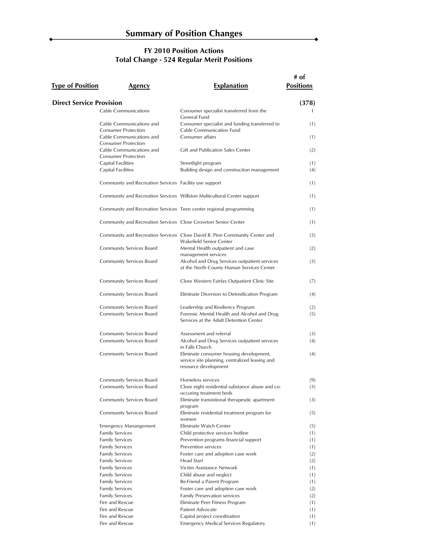| <b>Type of Position</b>         | Agency                                                                               | <b>Explanation</b>                                                                                                         | # of<br><b>Positions</b> |
|---------------------------------|--------------------------------------------------------------------------------------|----------------------------------------------------------------------------------------------------------------------------|--------------------------|
|                                 |                                                                                      |                                                                                                                            |                          |
| <b>Direct Service Provision</b> | <b>Cable Communications</b>                                                          | Consumer specialist transferred from the<br>General Fund                                                                   | (378)                    |
|                                 | Cable Communications and<br><b>Consumer Protection</b>                               | Consumer specialist and funding transferred to<br>Cable Communication Fund                                                 | (1)                      |
|                                 | Cable Communications and                                                             | Consumer affairs                                                                                                           | (1)                      |
|                                 | <b>Consumer Protection</b><br>Cable Communications and<br><b>Consumer Protection</b> | Gift and Publication Sales Center                                                                                          | (2)                      |
|                                 | <b>Capital Facilities</b><br><b>Capital Facilities</b>                               | Streetlight program<br>Building design and construction management                                                         | (1)<br>(4)               |
|                                 | Community and Recreation Services Facility use support                               |                                                                                                                            | (1)                      |
|                                 |                                                                                      | Community and Recreation Services Willston Multicultural Center support                                                    | (1)                      |
|                                 | Community and Recreation Services Teen center regional programming                   |                                                                                                                            | (1)                      |
|                                 | Community and Recreation Services Close Groveton Senior Center                       |                                                                                                                            | (1)                      |
|                                 |                                                                                      | Community and Recreation Services Close David R. Pinn Community Center and<br>Wakefield Senior Center                      | (3)                      |
|                                 | Community Services Board                                                             | Mental Health outpatient and case<br>management services                                                                   | (2)                      |
|                                 | Community Services Board                                                             | Alcohol and Drug Services outpatient services<br>at the North County Human Services Center                                 | (3)                      |
|                                 | Community Services Board                                                             | Close Western Fairfax Outpatient Clinic Site                                                                               | (7)                      |
|                                 | Community Services Board                                                             | Eliminate Diversion to Detoxification Program                                                                              | (4)                      |
|                                 | Community Services Board<br>Community Services Board                                 | Leadership and Resiliency Program<br>Forensic Mental Health and Alcohol and Drug<br>Services at the Adult Detention Center | (2)<br>(5)               |
|                                 | Community Services Board<br>Community Services Board                                 | Assessment and referral<br>Alcohol and Drug Services outpatient services                                                   | (3)<br>(4)               |
|                                 |                                                                                      | in Falls Church                                                                                                            |                          |
|                                 | Community Services Board                                                             | Eliminate consumer housing development,<br>service site planning, centralized leasing and<br>resource development          | (4)                      |
|                                 | Community Services Board                                                             | Homeless services                                                                                                          | (9)                      |
|                                 | Community Services Board                                                             | Close eight residential substance abuse and co-<br>occuring treatment beds                                                 | (3)                      |
|                                 | Community Services Board<br>Community Services Board                                 | Eliminate transistional therapeutic apartment<br>program<br>Eliminate residential treatment program for                    | (3)<br>(5)               |
|                                 |                                                                                      | women<br>Eliminate Watch Center                                                                                            |                          |
|                                 | <b>Emergency Manangement</b><br><b>Family Services</b>                               | Child protective services hotline                                                                                          | (5)<br>(1)               |
|                                 | <b>Family Services</b>                                                               | Prevention programs financial support                                                                                      | (1)                      |
|                                 | <b>Family Services</b>                                                               | Prevention services                                                                                                        | (1)                      |
|                                 | <b>Family Services</b>                                                               | Foster care and adoption case work                                                                                         | (2)                      |
|                                 | <b>Family Services</b>                                                               | Head Start                                                                                                                 | (2)                      |
|                                 | <b>Family Services</b>                                                               | Victim Assistance Network                                                                                                  | (1)                      |
|                                 | <b>Family Services</b>                                                               | Child abuse and neglect                                                                                                    | (1)                      |
|                                 | <b>Family Services</b>                                                               | Be-Friend a Parent Program                                                                                                 | (1)                      |
|                                 | <b>Family Services</b>                                                               | Foster care and adoption case work                                                                                         | (2)                      |
|                                 | <b>Family Services</b>                                                               | Family Preservation services                                                                                               | (2)                      |
|                                 | Fire and Rescue                                                                      | Eliminate Peer Fitness Program                                                                                             | (1)                      |
|                                 | Fire and Rescue<br>Fire and Rescue                                                   | Patient Advocate                                                                                                           | (1)                      |
|                                 | Fire and Rescue                                                                      | Capital project coordination<br><b>Emergency Medical Services Regulatory</b>                                               | (1)<br>(1)               |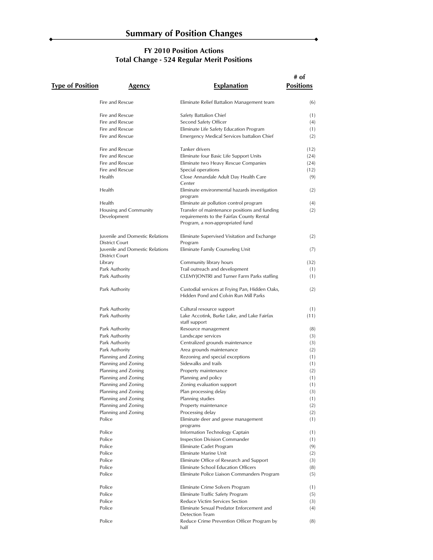Â

| <b>Type of Position</b> | Agency                                                          | <b>Explanation</b>                                                                         | # of<br><b>Positions</b> |
|-------------------------|-----------------------------------------------------------------|--------------------------------------------------------------------------------------------|--------------------------|
|                         | Fire and Rescue                                                 | Eliminate Relief Battalion Management team                                                 | (6)                      |
|                         | Fire and Rescue                                                 | Safety Battalion Chief                                                                     | (1)                      |
|                         | Fire and Rescue                                                 | Second Safety Officer                                                                      | (4)                      |
|                         | Fire and Rescue                                                 | Eliminate Life Safety Education Program                                                    | (1)                      |
|                         | Fire and Rescue                                                 | Emergency Medical Services battalion Chief                                                 | (2)                      |
|                         | Fire and Rescue                                                 | Tanker drivers                                                                             | (12)                     |
|                         | Fire and Rescue                                                 | Eliminate four Basic Life Support Units                                                    | (24)                     |
|                         | Fire and Rescue                                                 | Eliminate two Heavy Rescue Companies                                                       | (24)                     |
|                         | Fire and Rescue                                                 | Special operations                                                                         | (12)                     |
|                         | Health                                                          | Close Annandale Adult Day Health Care<br>Center                                            | (9)                      |
|                         | Health                                                          | Eliminate environmental hazards investigation<br>program                                   | (2)                      |
|                         | Health                                                          | Eliminate air pollution control program                                                    | (4)                      |
|                         | Housing and Community<br>Development                            | Transfer of maintenance positions and funding<br>requirements to the Fairfax County Rental | (2)                      |
|                         |                                                                 | Program, a non-appropriated fund                                                           |                          |
|                         | <b>Iuvenile and Domestic Relations</b><br><b>District Court</b> | Eliminate Supervised Visitation and Exchange<br>Program                                    | (2)                      |
|                         | <b>Iuvenile and Domestic Relations</b><br><b>District Court</b> | Eliminate Family Counseling Unit                                                           | (7)                      |
|                         | Library                                                         | Community library hours                                                                    | (32)                     |
|                         | Park Authority                                                  | Trail outreach and development                                                             | (1)                      |
|                         | Park Authority                                                  | CLEMYJONTRI and Turner Farm Parks staffing                                                 | (1)                      |
|                         | Park Authority                                                  | Custodial services at Frying Pan, Hidden Oaks,<br>Hidden Pond and Colvin Run Mill Parks    | (2)                      |
|                         | Park Authority                                                  | Cultural resource support                                                                  | (1)                      |
|                         | Park Authority                                                  | Lake Accotink, Burke Lake, and Lake Fairfax<br>staff support                               | (11)                     |
|                         | Park Authority                                                  | Resource management                                                                        | (8)                      |
|                         | Park Authority                                                  | Landscape services                                                                         | (3)                      |
|                         | Park Authority                                                  | Centralized grounds maintenance                                                            | (3)                      |
|                         | Park Authority                                                  | Area grounds maintenance                                                                   | (2)                      |
|                         | Planning and Zoning                                             | Rezoning and special exceptions                                                            | (1)                      |
|                         | Planning and Zoning                                             | Sidewalks and trails                                                                       | (1)                      |
|                         | Planning and Zoning                                             | Property maintenance                                                                       | (2)                      |
|                         | Planning and Zoning                                             | Planning and policy                                                                        | (1)                      |
|                         | Planning and Zoning                                             | Zoning evaluation support                                                                  | (1)                      |
|                         | Planning and Zoning                                             | Plan processing delay<br>Planning studies                                                  | (3)                      |
|                         | Planning and Zoning                                             | Property maintenance                                                                       | (1)                      |
|                         | Planning and Zoning<br>Planning and Zoning                      | Processing delay                                                                           | (2)                      |
|                         | Police                                                          | Eliminate deer and geese management                                                        | (2)<br>(1)               |
|                         |                                                                 | programs                                                                                   |                          |
|                         | Police                                                          | Information Technology Captain                                                             | (1)                      |
|                         | Police                                                          | Inspection Division Commander                                                              | (1)                      |
|                         | Police                                                          | Eliminate Cadet Program                                                                    | (9)                      |
|                         | Police                                                          | Eliminate Marine Unit                                                                      | (2)                      |
|                         | Police                                                          | Eliminate Office of Research and Support                                                   | (3)                      |
|                         | Police                                                          | Eliminate School Education Officers                                                        | (8)                      |
|                         | Police                                                          | Eliminate Police Liaison Commanders Program                                                | (5)                      |
|                         | Police                                                          | Eliminate Crime Solvers Program                                                            | (1)                      |
|                         | Police                                                          | Eliminate Traffic Safety Program                                                           | (5)                      |
|                         | Police                                                          | Reduce Victim Services Section                                                             | (3)                      |
|                         | Police                                                          | Eliminate Sexual Predator Enforcement and                                                  | (4)                      |
|                         | Police                                                          | <b>Detection Team</b><br>Reduce Crime Prevention Officer Program by<br>half                | (8)                      |
|                         |                                                                 |                                                                                            |                          |